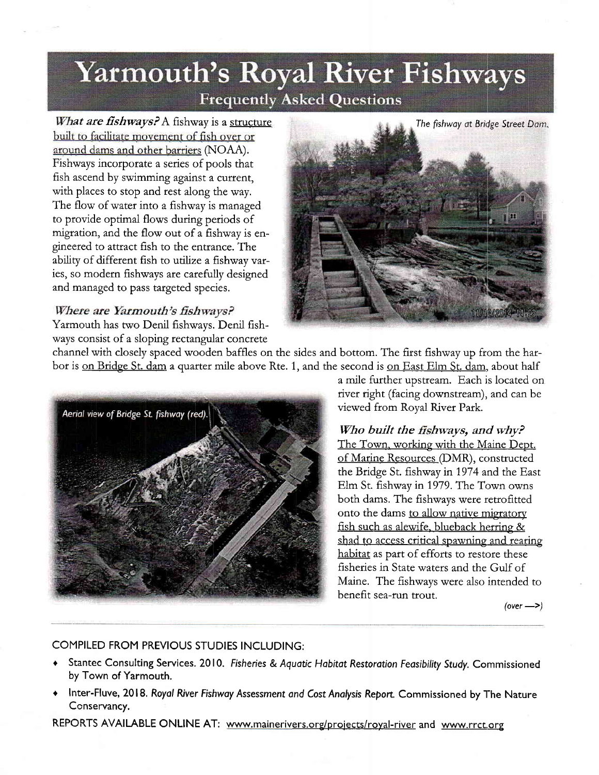## **Yarmouth's Royal River Fishways Frequently Asked Questions**

What are fishways? A fishway is a structure built to facilitate movement of fish over or around dams and other barriers (NOAA). Fishways incorporate a series of pools that fish ascend by swimming against a current, with places to stop and rest along the way. The flow of water into a fishway is managed to provide optimal flows during periods of migration, and the flow out of a fishway is engineeted to attract fish to the entrance. The ability of different fish to utilize a fishway varies, so modern fishways are carefully designed and managed to pass targeted species.

## Where are Yarmouth's fishways?

Yatmouth has two Denil fishways. Denil fishways consist of a sloping rectangular concrete



channel with closely spaced wooden baffles on the sides and bottom. The first fishway up from the harbor is on Bridge St. dam a quarter mile above Rte. 1, and the second is on East Elm St, dam, about half



a mile furthet upstream. Each is located on river right (facing downstream), and can be viewed from Royal River Patk.

## Who built the fishways, and why?

The Town, working with the Maine Dept. of Marine Resources (DMR), constructed the Bridge St. fishway in 1974 and the East Elm St. fishway in 1979. The Town owns both dams. The fishways were retrofitted onto the dams to allow native migratory fish such as alewife, blueback herring & shad to access critical spawning and rearing habitat as part of efforts to restore these fisheries in State waters and the Gulf of Maine. The fishways were also intended to benefit sea-run trout.

 $(over -)$ 

## COMPILED FROM PREVIOUS STUDIES INCLUDING:

- Stantec Consulting Services. 2010. Fisheries & Aquatic Habitat Restoration Feasibility Study. Commissioned by Town of Yarmouth.
- Inter-Fluve, 2018. Royal River Fishway Assessment and Cost Analysis Report. Commissioned by The Nature Ccnservancy.

REPORTS AVAILABLE ONLINE AT: www.mainerivers.org/projects/royal-river and www.rrct.org